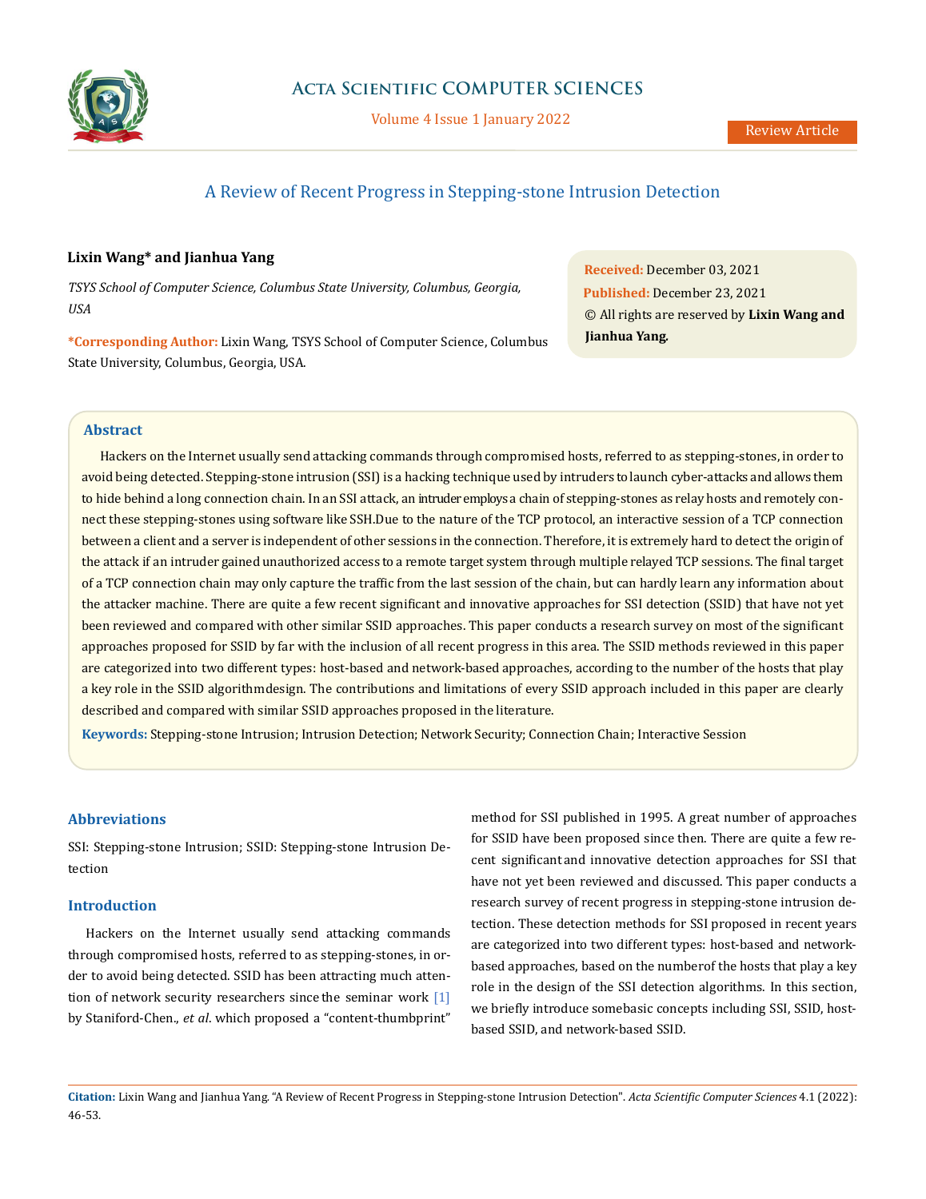

Volume 4 Issue 1 January 2022

# A Review of Recent Progress in Stepping-stone Intrusion Detection

# **Lixin Wang\* and Jianhua Yang**

*TSYS School of Computer Science, Columbus State University, Columbus, Georgia, USA*

**\*Corresponding Author:** Lixin Wang, TSYS School of Computer Science, Columbus State University, Columbus, Georgia, USA.

**Received:** December 03, 2021 **Published:** December 23, 2021 © All rights are reserved by **Lixin Wang and Jianhua Yang***.*

## **Abstract**

Hackers on the Internet usually send attacking commands through compromised hosts, referred to as stepping-stones, in order to avoid being detected. Stepping-stone intrusion (SSI) is a hacking technique used by intruders to launch cyber-attacks and allows them to hide behind a long connection chain. In an SSI attack, an intruder employs a chain of stepping-stones as relay hosts and remotely connect these stepping-stones using software like SSH. Due to the nature of the TCP protocol, an interactive session of a TCP connection between a client and a server is independent of other sessions in the connection. Therefore, it is extremely hard to detect the origin of the attack if an intruder gained unauthorized access to a remote target system through multiple relayed TCP sessions. The final target of a TCP connection chain may only capture the traffic from the last session of the chain, but can hardly learn any information about the attacker machine. There are quite a few recent significant and innovative approaches for SSI detection (SSID) that have not yet been reviewed and compared with other similar SSID approaches. This paper conducts a research survey on most of the significant approaches proposed for SSID by far with the inclusion of all recent progress in this area. The SSID methods reviewed in this paper are categorized into two different types: host-based and network-based approaches, according to the number of the hosts that play a key role in the SSID algorithm design. The contributions and limitations of every SSID approach included in this paper are clearly described and compared with similar SSID approaches proposed in the literature.

**Keywords:** Stepping-stone Intrusion; Intrusion Detection; Network Security; Connection Chain; Interactive Session

# **Abbreviations**

SSI: Stepping-stone Intrusion; SSID: Stepping-stone Intrusion Detection

# **Introduction**

Hackers on the Internet usually send attacking commands through compromised hosts, referred to as stepping- stones, in order to avoid being detected. SSID has been attracting much attention of network security researchers since the seminar work  $[1]$ by Staniford-Chen., *et al*. which proposed a "content-thumbprint"

method for SSI published in 1995. A great number of approaches for SSID have been proposed since then. There are quite a few recent significant and innovative detection approaches for SSI that have not yet been reviewed and discussed. This paper conducts a research survey of recent progress in stepping-stone intrusion detection. These detection methods for SSI proposed in recent years are categorized into two different types: host-based and networkbased approaches, based on the number of the hosts that play a key role in the design of the SSI detection algorithms. In this section, we briefly introduce somebasic concepts including SSI, SSID, hostbased SSID, and network-based SSID.

**Citation:** Lixin Wang and Jianhua Yang*.* "A Review of Recent Progress in Stepping-stone Intrusion Detection". *Acta Scientific Computer Sciences* 4.1 (2022): 46-53.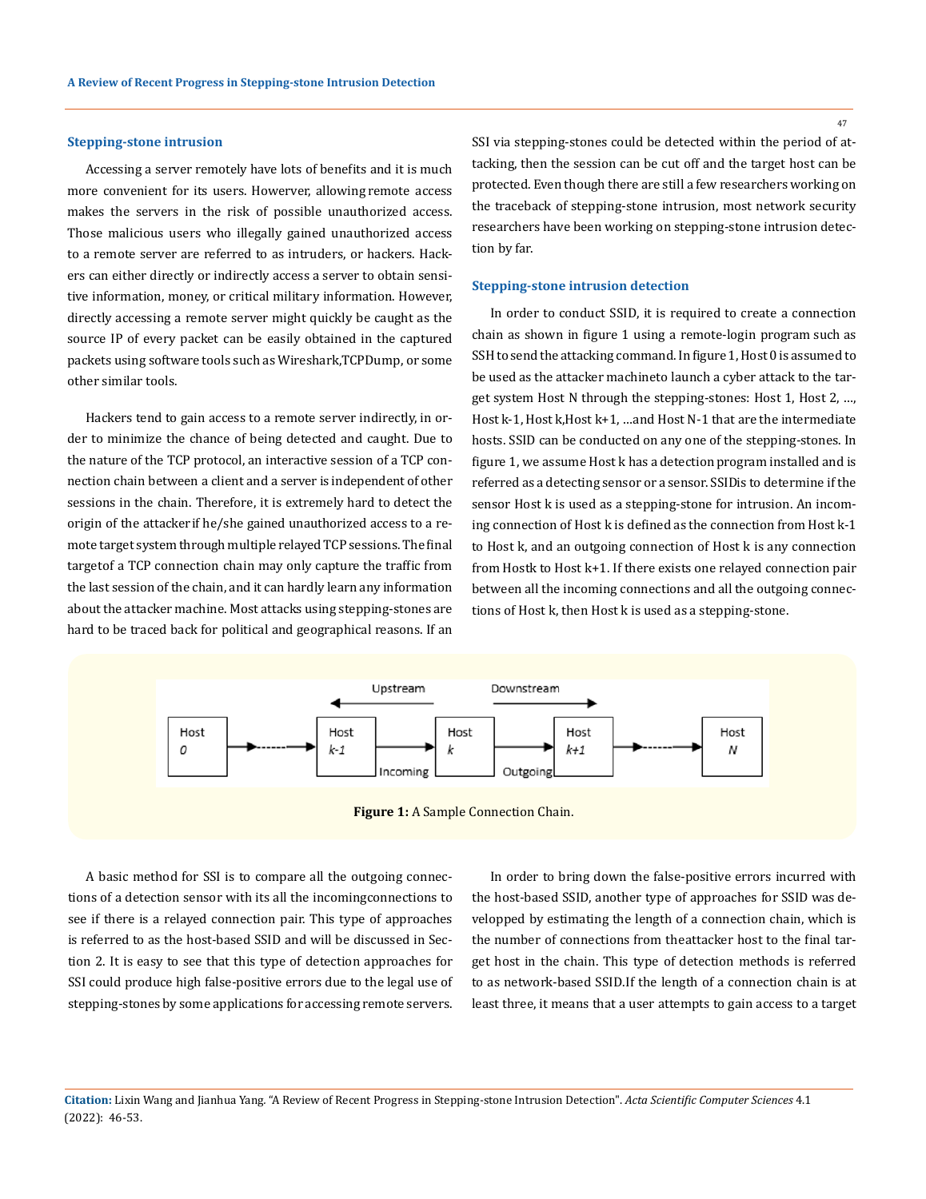#### **Stepping-stone intrusion**

Accessing a server remotely have lots of benefits and it is much more convenient for its users. Howerver, allowing remote access makes the servers in the risk of possible unauthorized access. Those malicious users who illegally gained unauthorized access to a remote server are referred to as intruders, or hackers. Hackers can either directly or indirectly access a server to obtain sensitive information, money, or critical military information. However, directly accessing a remote server might quickly be caught as the source IP of every packet can be easily obtained in the captured packets using software tools such as Wireshark,TCPDump, or some other similar tools.

Hackers tend to gain access to a remote server indirectly, in order to minimize the chance of being detected and caught. Due to the nature of the TCP protocol, an interactive session of a TCP connection chain between a client and a server is independent of other sessions in the chain. Therefore, it is extremely hard to detect the origin of the attacker if he/she gained unauthorized access to a remote target system through multiple relayed TCP sessions. The final targetof a TCP connection chain may only capture the traffic from the last session of the chain, and it can hardly learn any information about the attacker machine. Most attacks using stepping-stones are hard to be traced back for political and geographical reasons. If an

SSI via stepping-stones could be detected within the period of attacking, then the session can be cut off and the target host can be protected. Even though there are still a few researchers working on the traceback of stepping-stone intrusion, most network security researchers have been working on stepping-stone intrusion detection by far.

#### **Stepping-stone intrusion detection**

In order to conduct SSID, it is required to create a connection chain as shown in figure 1 using a remote-login program such as SSH to send the attacking command. In figure 1, Host 0 is assumed to be used as the attacker machineto launch a cyber attack to the target system Host N through the stepping-stones: Host 1, Host 2, …, Host k-1, Host k, Host k+1, ... and Host N-1 that are the intermediate hosts. SSID can be conducted on any one of the stepping-stones. In figure 1, we assume Host k has a detection program installed and is referred as a detecting sensor or a sensor. SSIDis to determine if the sensor Host k is used as a stepping-stone for intrusion. An incoming connection of Host k is defined as the connection from Host k-1 to Host k, and an outgoing connection of Host k is any connection from Hostk to Host k+1. If there exists one relayed connection pair between all the incoming connections and all the outgoing connections of Host k, then Host k is used as a stepping-stone.



 **Figure 1:** A Sample Connection Chain.

A basic method for SSI is to compare all the outgoing connections of a detection sensor with its all the incoming connections to see if there is a relayed connection pair. This type of approaches is referred to as the host-based SSID and will be discussed in Section 2. It is easy to see that this type of detection approaches for SSI could produce high false-positive errors due to the legal use of stepping-stones by some applications for accessing remote servers.

In order to bring down the false-positive errors incurred with the host-based SSID, another type of approaches for SSID was developped by estimating the length of a connection chain, which is the number of connections from the attacker host to the final target host in the chain. This type of detection methods is referred to as network-based SSID. If the length of a connection chain is at least three, it means that a user attempts to gain access to a target

**Citation:** Lixin Wang and Jianhua Yang*.* "A Review of Recent Progress in Stepping-stone Intrusion Detection". *Acta Scientific Computer Sciences* 4.1 (2022): 46-53.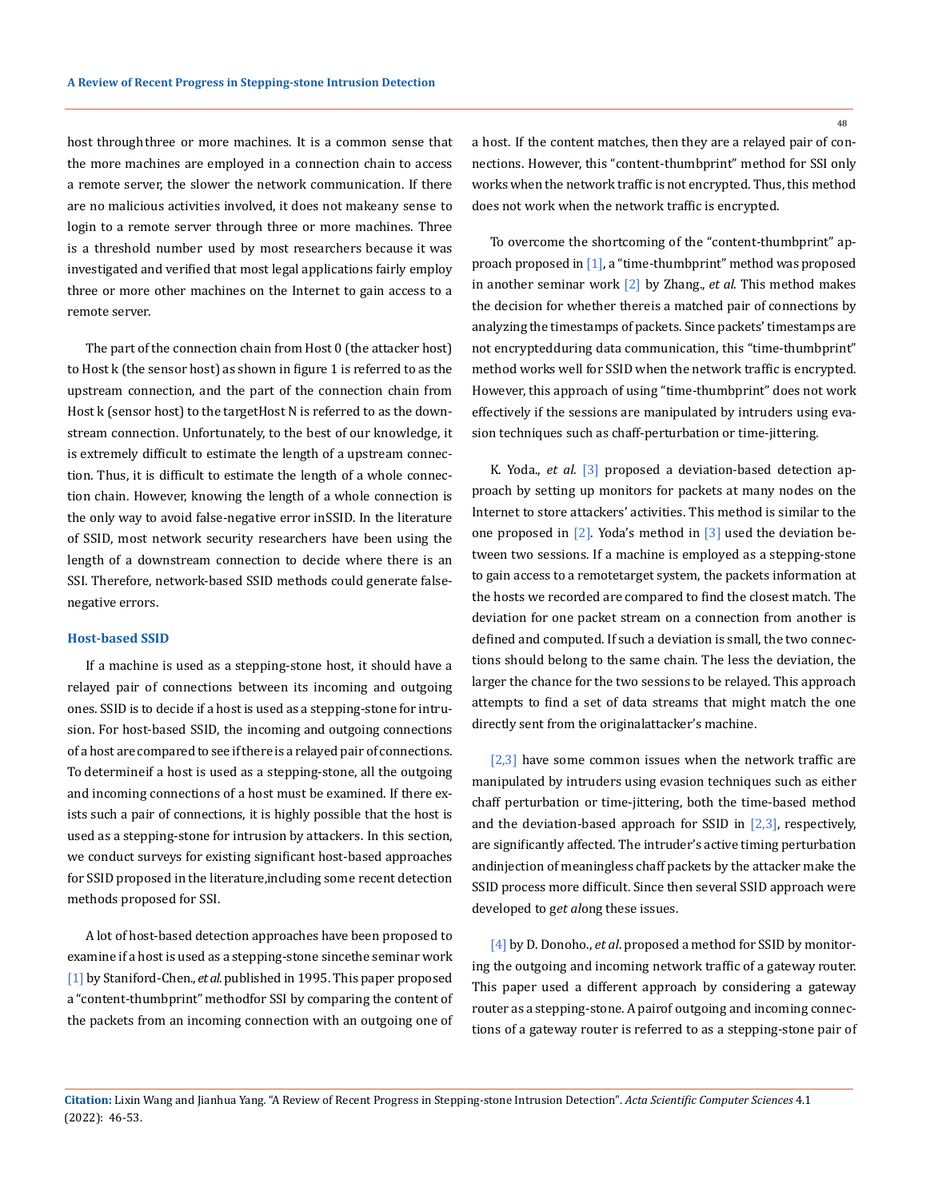host through three or more machines. It is a common sense that the more machines are employed in a connection chain to access a remote server, the slower the network communication. If there are no malicious activities involved, it does not makeany sense to login to a remote server through three or more machines. Three is a threshold number used by most researchers because it was investigated and verified that most legal applications fairly employ three or more other machines on the Internet to gain access to a remote server.

The part of the connection chain from Host 0 (the attacker host) to Host k (the sensor host) as shown in figure 1 is referred to as the upstream connection, and the part of the connection chain from Host k (sensor host) to the target Host N is referred to as the downstream connection. Unfortunately, to the best of our knowledge, it is extremely difficult to estimate the length of a upstream connection. Thus, it is difficult to estimate the length of a whole connection chain. However, knowing the length of a whole connection is the only way to avoid false-negative error in SSID. In the literature of SSID, most network security researchers have been using the length of a downstream connection to decide where there is an SSI. Therefore, network-based SSID methods could generate falsenegative errors.

#### **Host-based SSID**

If a machine is used as a stepping-stone host, it should have a relayed pair of connections between its incoming and outgoing ones. SSID is to decide if a host is used as a stepping-stone for intrusion. For host-based SSID, the incoming and outgoing connections of a host are compared to see if there is a relayed pair of connections. To determineif a host is used as a stepping-stone, all the outgoing and incoming connections of a host must be examined. If there exists such a pair of connections, it is highly possible that the host is used as a stepping-stone for intrusion by attackers. In this section, we conduct surveys for existing significant host-based approaches for SSID proposed in the literature, including some recent detection methods proposed for SSI.

A lot of host-based detection approaches have been proposed to examine if a host is used as a stepping-stone sincethe seminar work [1] by Staniford-Chen., *et al*. published in 1995. This paper proposed a "content-thumbprint" method for SSI by comparing the content of the packets from an incoming connection with an outgoing one of

a host. If the content matches, then they are a relayed pair of connections. However, this "content-thumbprint" method for SSI only works when the network traffic is not encrypted. Thus, this method does not work when the network traffic is encrypted.

To overcome the shortcoming of the "content-thumbprint" approach proposed in [1], a "time-thumbprint" method was proposed in another seminar work [2] by Zhang., *et al*. This method makes the decision for whether there is a matched pair of connections by analyzing the timestamps of packets. Since packets' timestamps are not encrypted during data communication, this "time-thumbprint" method works well for SSID when the network traffic is encrypted. However, this approach of using "time-thumbprint" does not work effectively if the sessions are manipulated by intruders using evasion techniques such as chaff-perturbation or time-jittering.

K. Yoda., *et al*. [3] proposed a deviation-based detection approach by setting up monitors for packets at many nodes on the Internet to store attackers' activities. This method is similar to the one proposed in  $[2]$ . Yoda's method in  $[3]$  used the deviation between two sessions. If a machine is employed as a stepping-stone to gain access to a remotetarget system, the packets information at the hosts we recorded are compared to find the closest match. The deviation for one packet stream on a connection from another is defined and computed. If such a deviation is small, the two connections should belong to the same chain. The less the deviation, the larger the chance for the two sessions to be relayed. This approach attempts to find a set of data streams that might match the one directly sent from the original attacker's machine.

 $[2,3]$  have some common issues when the network traffic are manipulated by intruders using evasion techniques such as either chaff perturbation or time-jittering, both the time-based method and the deviation-based approach for SSID in  $[2,3]$ , respectively, are significantly affected. The intruder's active timing perturbation and injection of meaningless chaff packets by the attacker make the SSID process more difficult. Since then several SSID approach were developed to g*et al*ong these issues.

[4] by D. Donoho., *et al*. proposed a method for SSID by monitoring the outgoing and incoming network traffic of a gateway router. This paper used a different approach by considering a gateway router as a stepping-stone. A pairof outgoing and incoming connections of a gateway router is referred to as a stepping-stone pair of

**Citation:** Lixin Wang and Jianhua Yang*.* "A Review of Recent Progress in Stepping-stone Intrusion Detection". *Acta Scientific Computer Sciences* 4.1 (2022): 46-53.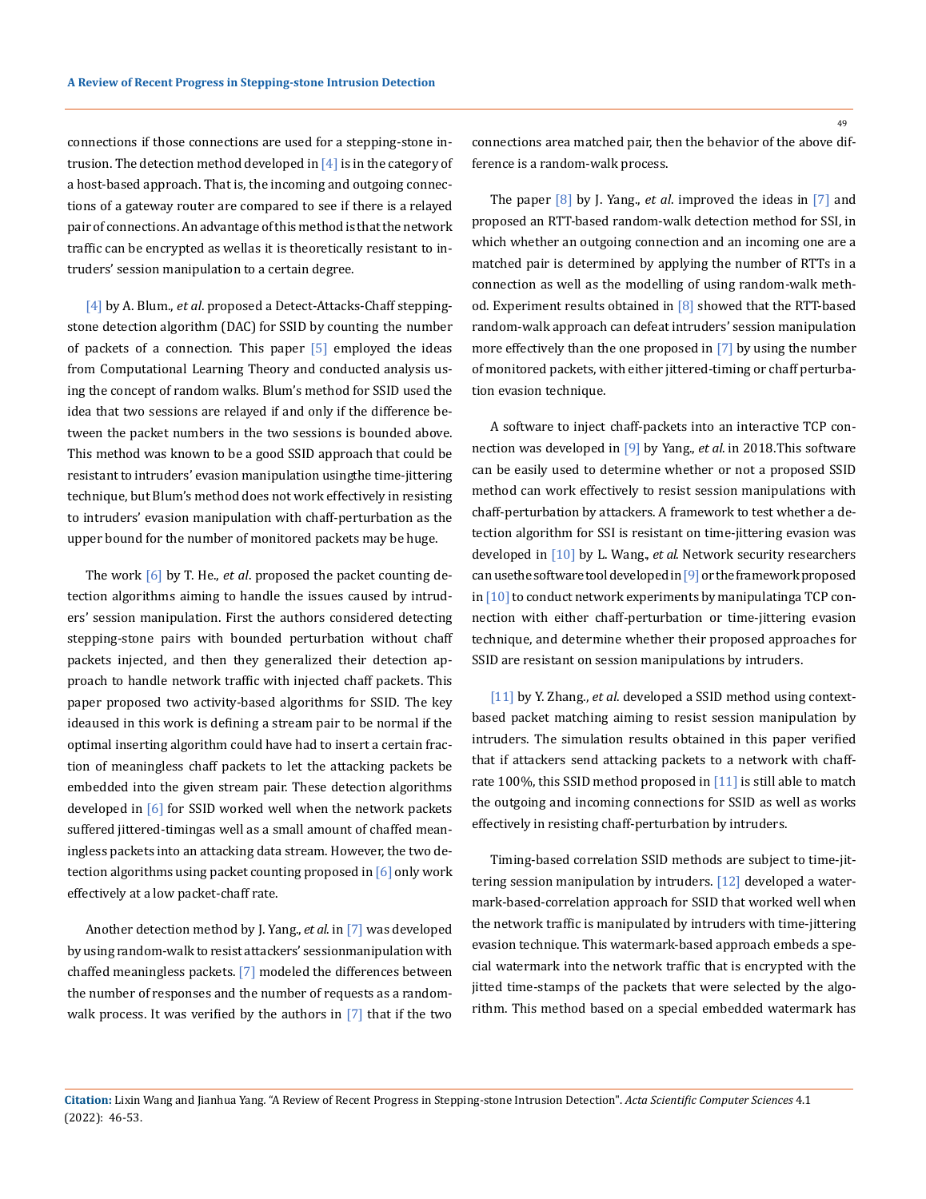connections if those connections are used for a stepping-stone intrusion. The detection method developed in  $[4]$  is in the category of a host-based approach. That is, the incoming and outgoing connections of a gateway router are compared to see if there is a relayed pair of connections. An advantage of this method is that the network traffic can be encrypted as wellas it is theoretically resistant to intruders' session manipulation to a certain degree.

[4] by A. Blum., *et al*. proposed a Detect-Attacks-Chaff steppingstone detection algorithm (DAC) for SSID by counting the number of packets of a connection. This paper  $[5]$  employed the ideas from Computational Learning Theory and conducted analysis using the concept of random walks. Blum's method for SSID used the idea that two sessions are relayed if and only if the difference between the packet numbers in the two sessions is bounded above. This method was known to be a good SSID approach that could be resistant to intruders' evasion manipulation using the time-jittering technique, but Blum's method does not work effectively in resisting to intruders' evasion manipulation with chaff-perturbation as the upper bound for the number of monitored packets may be huge.

The work [6] by T. He., *et al*. proposed the packet counting detection algorithms aiming to handle the issues caused by intruders' session manipulation. First the authors considered detecting stepping-stone pairs with bounded perturbation without chaff packets injected, and then they generalized their detection approach to handle network traffic with injected chaff packets. This paper proposed two activity-based algorithms for SSID. The key ideaused in this work is defining a stream pair to be normal if the optimal inserting algorithm could have had to insert a certain fraction of meaningless chaff packets to let the attacking packets be embedded into the given stream pair. These detection algorithms developed in [6] for SSID worked well when the network packets suffered jittered-timingas well as a small amount of chaffed meaningless packets into an attacking data stream. However, the two detection algorithms using packet counting proposed in [6] only work effectively at a low packet-chaff rate.

Another detection method by J. Yang., *et al*. in [7] was developed by using random-walk to resist attackers' session manipulation with chaffed meaningless packets. [7] modeled the differences between the number of responses and the number of requests as a randomwalk process. It was verified by the authors in  $[7]$  that if the two connections area matched pair, then the behavior of the above difference is a random-walk process.

The paper [8] by J. Yang., *et al*. improved the ideas in [7] and proposed an RTT-based random-walk detection method for SSI, in which whether an outgoing connection and an incoming one are a matched pair is determined by applying the number of RTTs in a connection as well as the modelling of using random-walk method. Experiment results obtained in  $[8]$  showed that the RTT-based random-walk approach can defeat intruders' session manipulation more effectively than the one proposed in [7] by using the number of monitored packets, with either jittered-timing or chaff perturbation evasion technique.

A software to inject chaff-packets into an interactive TCP connection was developed in [9] by Yang., *et al*. in 2018. This software can be easily used to determine whether or not a proposed SSID method can work effectively to resist session manipulations with chaff-perturbation by attackers. A framework to test whether a detection algorithm for SSI is resistant on time-jittering evasion was developed in [10] by L. Wang., *et al*. Network security researchers can use the software tool developed in [9] or the framework proposed in  $[10]$  to conduct network experiments by manipulating aTCP connection with either chaff-perturbation or time-jittering evasion technique, and determine whether their proposed approaches for SSID are resistant on session manipulations by intruders.

[11] by Y. Zhang., *et al*. developed a SSID method using contextbased packet matching aiming to resist session manipulation by intruders. The simulation results obtained in this paper verified that if attackers send attacking packets to a network with chaffrate 100%, this SSID method proposed in [11] is still able to match the outgoing and incoming connections for SSID as well as works effectively in resisting chaff-perturbation by intruders.

Timing-based correlation SSID methods are subject to time-jittering session manipulation by intruders. [12] developed a watermark-based-correlation approach for SSID that worked well when the network traffic is manipulated by intruders with time-jittering evasion technique. This watermark-based approach embeds a special watermark into the network traffic that is encrypted with the jitted time-stamps of the packets that were selected by the algorithm. This method based on a special embedded watermark has

**Citation:** Lixin Wang and Jianhua Yang*.* "A Review of Recent Progress in Stepping-stone Intrusion Detection". *Acta Scientific Computer Sciences* 4.1 (2022): 46-53.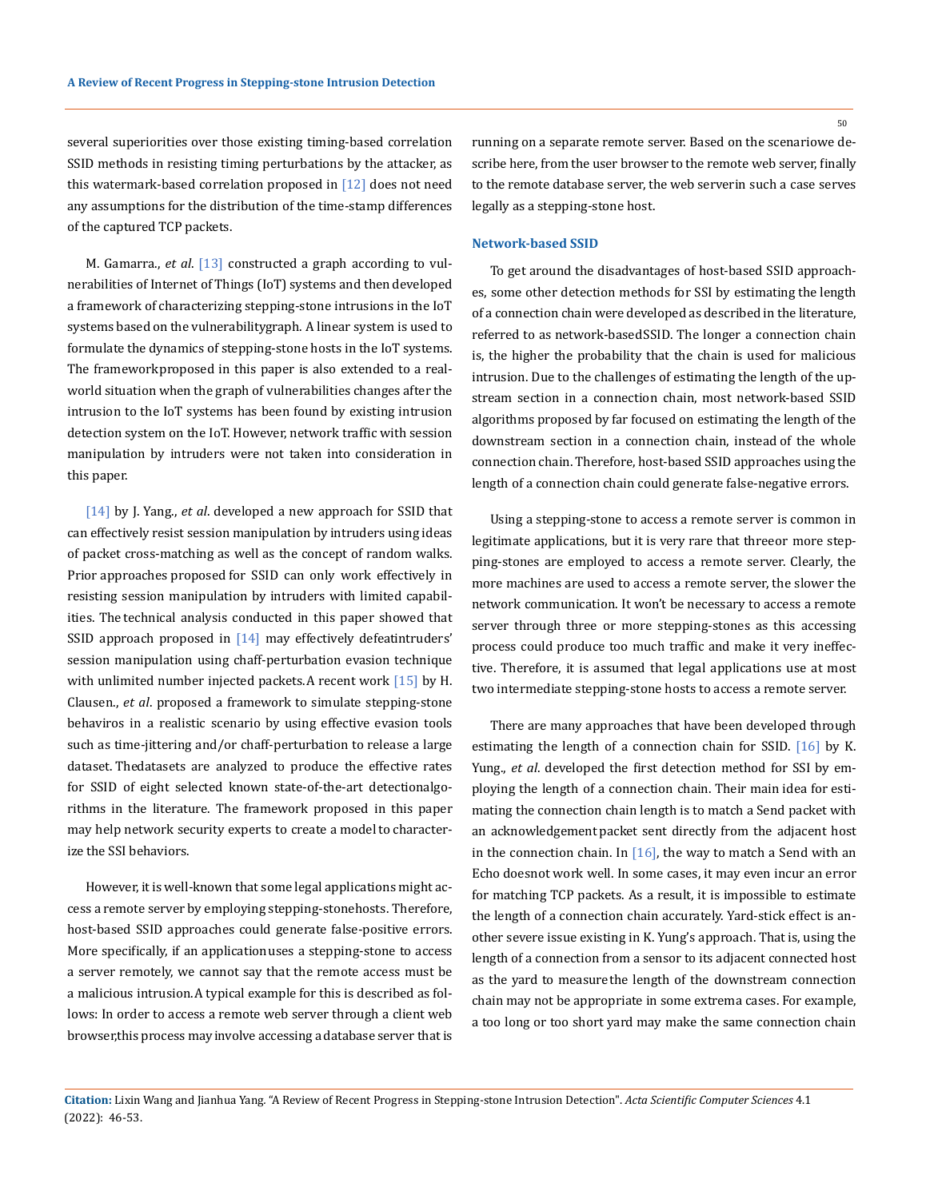several superiorities over those existing timing-based correlation SSID methods in resisting timing perturbations by the attacker, as this watermark-based correlation proposed in  $\lceil 12 \rceil$  does not need any assumptions for the distribution of the time-stamp differences of the captured TCP packets.

M. Gamarra., *et al*. [13] constructed a graph according to vulnerabilities of Internet of Things (IoT) systems and then developed a framework of characterizing stepping-stone intrusions in the IoT systems based on the vulnerability graph. A linear system is used to formulate the dynamics of stepping-stone hosts in the IoT systems. The framework proposed in this paper is also extended to a realworld situation when the graph of vulnerabilities changes after the intrusion to the IoT systems has been found by existing intrusion detection system on the IoT. However, network traffic with session manipulation by intruders were not taken into consideration in this paper.

[14] by J. Yang., *et al*. developed a new approach for SSID that can effectively resist session manipulation by intruders using ideas of packet cross-matching as well as the concept of random walks. Prior approaches proposed for SSID can only work effectively in resisting session manipulation by intruders with limited capabilities. The technical analysis conducted in this paper showed that SSID approach proposed in  $[14]$  may effectively defeatintruders' session manipulation using chaff-perturbation evasion technique with unlimited number injected packets. A recent work [15] by H. Clausen., *et al*. proposed a framework to simulate stepping-stone behaviros in a realistic scenario by using effective evasion tools such as time-jittering and/or chaff-perturbation to release a large dataset. Thedatasets are analyzed to produce the effective rates for SSID of eight selected known state-of-the-art detectionalgorithms in the literature. The framework proposed in this paper may help network security experts to create a model to characterize the SSI behaviors.

However, it is well-known that some legal applications might access a remote server by employing stepping-stonehosts. Therefore, host-based SSID approaches could generate false-positive errors. More specifically, if an application uses a stepping-stone to access a server remotely, we cannot say that the remote access must be a malicious intrusion. A typical example for this is described as follows: In order to access a remote web server through a client web browser, this process may involve accessing a database server that is running on a separate remote server. Based on the scenario we describe here, from the user browser to the remote web server, finally to the remote database server, the web serverin such a case serves legally as a stepping-stone host.

#### **Network-based SSID**

To get around the disadvantages of host-based SSID approaches, some other detection methods for SSI by estimating the length of a connection chain were developed as described in the literature, referred to as network-based SSID. The longer a connection chain is, the higher the probability that the chain is used for malicious intrusion. Due to the challenges of estimating the length of the upstream section in a connection chain, most network-based SSID algorithms proposed by far focused on estimating the length of the downstream section in a connection chain, instead of the whole connection chain. Therefore, host-based SSID approaches using the length of a connection chain could generate false-negative errors.

Using a stepping-stone to access a remote server is common in legitimate applications, but it is very rare that three or more stepping-stones are employed to access a remote server. Clearly, the more machines are used to access a remote server, the slower the network communication. It won't be necessary to access a remote server through three or more stepping-stones as this accessing process could produce too much traffic and make it very ineffective. Therefore, it is assumed that legal applications use at most two intermediate stepping-stone hosts to access a remote server.

There are many approaches that have been developed through estimating the length of a connection chain for SSID. [16] by K. Yung., *et al*. developed the first detection method for SSI by employing the length of a connection chain. Their main idea for estimating the connection chain length is to match a Send packet with an acknowledgement packet sent directly from the adjacent host in the connection chain. In [16], the way to match a Send with an Echo doesnot work well. In some cases, it may even incur an error for matching TCP packets. As a result, it is impossible to estimate the length of a connection chain accurately. Yard-stick effect is another severe issue existing in K. Yung's approach. That is, using the length of a connection from a sensor to its adjacent connected host as the yard to measure the length of the downstream connection chain may not be appropriate in some extrema cases. For example, a too long or too short yard may make the same connection chain

**Citation:** Lixin Wang and Jianhua Yang*.* "A Review of Recent Progress in Stepping-stone Intrusion Detection". *Acta Scientific Computer Sciences* 4.1 (2022): 46-53.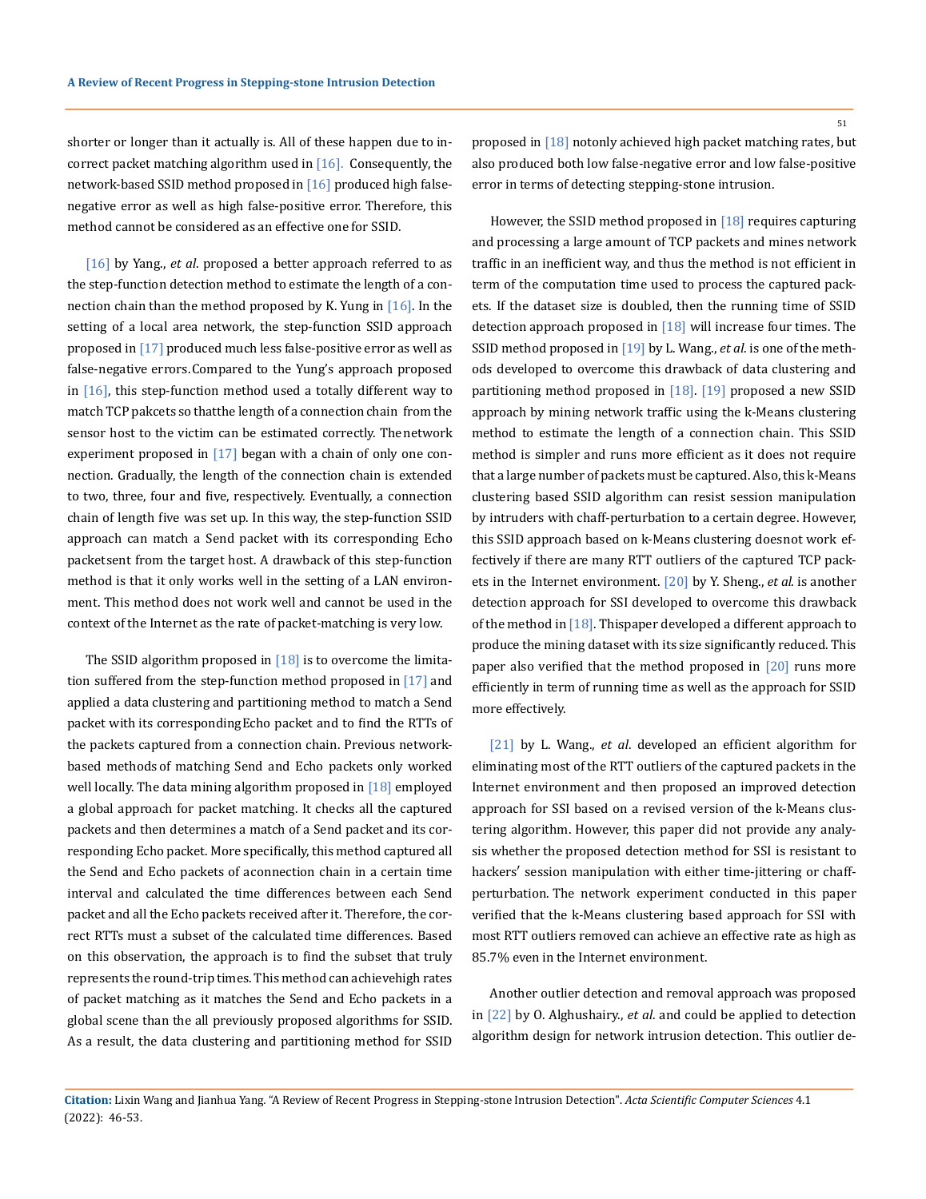shorter or longer than it actually is. All of these happen due to incorrect packet matching algorithm used in  $[16]$ . Consequently, the network-based SSID method proposed in [16] produced high falsenegative error as well as high false-positive error. Therefore, this method cannot be considered as an effective one for SSID.

[16] by Yang., *et al*. proposed a better approach referred to as the step-function detection method to estimate the length of a connection chain than the method proposed by K. Yung in [16]. In the setting of a local area network, the step-function SSID approach proposed in [17] produced much less false-positive error as well as false-negative errors. Compared to the Yung's approach proposed in  $[16]$ , this step-function method used a totally different way to match TCP pakcets so thatthe length of a connection chain from the sensor host to the victim can be estimated correctly. The network experiment proposed in [17] began with a chain of only one connection. Gradually, the length of the connection chain is extended to two, three, four and five, respectively. Eventually, a connection chain of length five was set up. In this way, the step-function SSID approach can match a Send packet with its corresponding Echo packet sent from the target host. A drawback of this step-function method is that it only works well in the setting of a LAN environment. This method does not work well and cannot be used in the context of the Internet as the rate of packet-matching is very low.

The SSID algorithm proposed in  $[18]$  is to overcome the limitation suffered from the step-function method proposed in [17] and applied a data clustering and partitioning method to match a Send packet with its corresponding Echo packet and to find the RTTs of the packets captured from a connection chain. Previous networkbased methods of matching Send and Echo packets only worked well locally. The data mining algorithm proposed in [18] employed a global approach for packet matching. It checks all the captured packets and then determines a match of a Send packet and its corresponding Echo packet. More specifically, this method captured all the Send and Echo packets of a connection chain in a certain time interval and calculated the time differences between each Send packet and all the Echo packets received after it. Therefore, the correct RTTs must a subset of the calculated time differences. Based on this observation, the approach is to find the subset that truly represents the round-trip times. This method can achievehigh rates of packet matching as it matches the Send and Echo packets in a global scene than the all previously proposed algorithms for SSID. As a result, the data clustering and partitioning method for SSID

proposed in  $[18]$  notonly achieved high packet matching rates, but also produced both low false-negative error and low false-positive error in terms of detecting stepping-stone intrusion.

However, the SSID method proposed in  $[18]$  requires capturing and processing a large amount of TCP packets and mines network traffic in an inefficient way, and thus the method is not efficient in term of the computation time used to process the captured packets. If the dataset size is doubled, then the running time of SSID detection approach proposed in [18] will increase four times. The SSID method proposed in [19] by L. Wang., *et al*. is one of the methods developed to overcome this drawback of data clustering and partitioning method proposed in [18]. [19] proposed a new SSID approach by mining network traffic using the k-Means clustering method to estimate the length of a connection chain. This SSID method is simpler and runs more efficient as it does not require that a large number of packets must be captured. Also, this k-Means clustering based SSID algorithm can resist session manipulation by intruders with chaff-perturbation to a certain degree. However, this SSID approach based on k-Means clustering doesnot work effectively if there are many RTT outliers of the captured TCP packets in the Internet environment. [20] by Y. Sheng., *et al*. is another detection approach for SSI developed to overcome this drawback of the method in  $[18]$ . This paper developed a different approach to produce the mining dataset with its size significantly reduced. This paper also verified that the method proposed in  $[20]$  runs more efficiently in term of running time as well as the approach for SSID more effectively.

[21] by L. Wang., *et al*. developed an efficient algorithm for eliminating most of the RTT outliers of the captured packets in the Internet environment and then proposed an improved detection approach for SSI based on a revised version of the k-Means clustering algorithm. However, this paper did not provide any analysis whether the proposed detection method for SSI is resistant to hackers′ session manipulation with either time-jittering or chaffperturbation. The network experiment conducted in this paper verified that the k-Means clustering based approach for SSI with most RTT outliers removed can achieve an effective rate as high as 85.7% even in the Internet environment.

Another outlier detection and removal approach was proposed in [22] by O. Alghushairy., *et al*. and could be applied to detection algorithm design for network intrusion detection. This outlier de-

**Citation:** Lixin Wang and Jianhua Yang*.* "A Review of Recent Progress in Stepping-stone Intrusion Detection". *Acta Scientific Computer Sciences* 4.1 (2022): 46-53.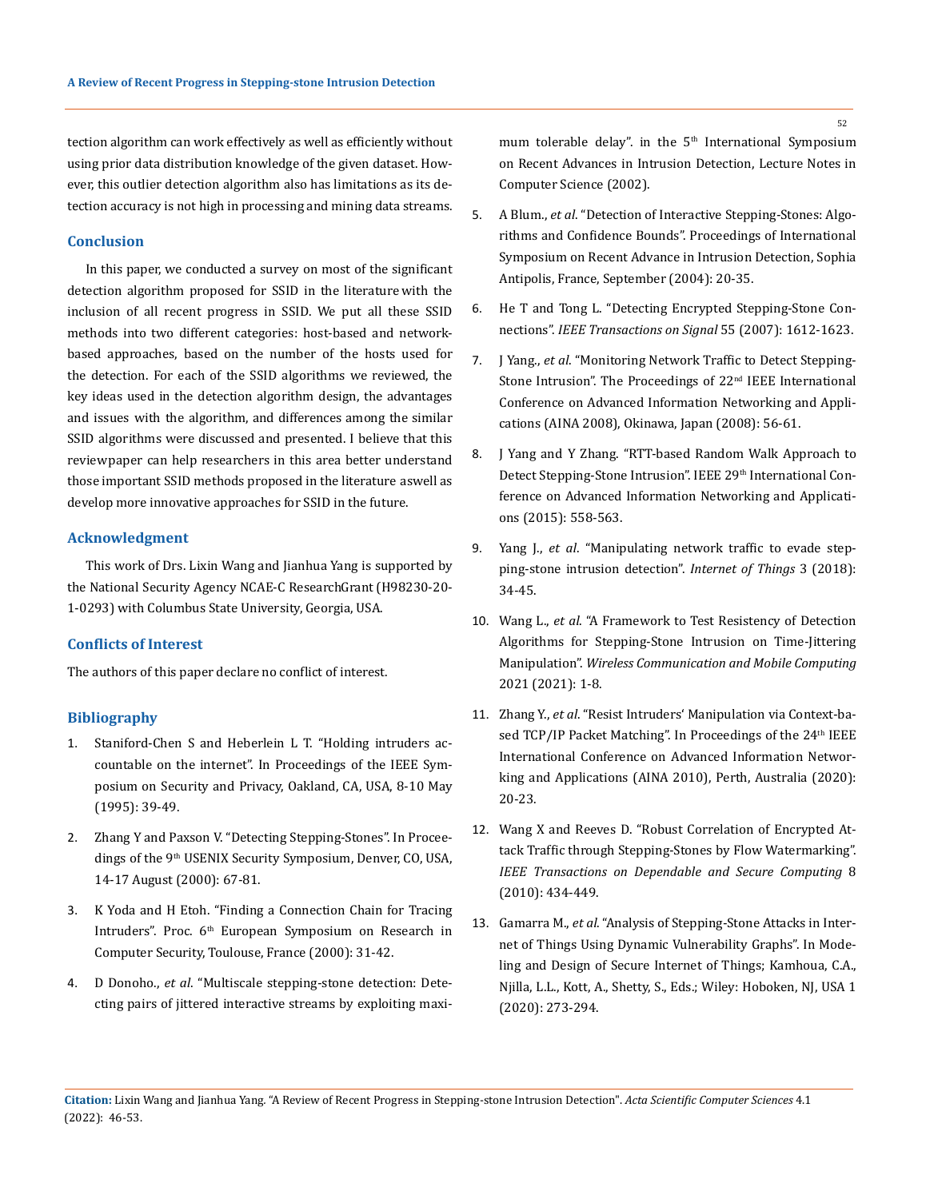tection algorithm can work effectively as well as efficiently without using prior data distribution knowledge of the given dataset. However, this outlier detection algorithm also has limitations as its detection accuracy is not high in processing and mining data streams.

# **Conclusion**

In this paper, we conducted a survey on most of the significant detection algorithm proposed for SSID in the literature with the inclusion of all recent progress in SSID. We put all these SSID methods into two different categories: host-based and networkbased approaches, based on the number of the hosts used for the detection. For each of the SSID algorithms we reviewed, the key ideas used in the detection algorithm design, the advantages and issues with the algorithm, and differences among the similar SSID algorithms were discussed and presented. I believe that this review paper can help researchers in this area better understand those important SSID methods proposed in the literature aswell as develop more innovative approaches for SSID in the future.

#### **Acknowledgment**

This work of Drs. Lixin Wang and Jianhua Yang is supported by the National Security Agency NCAE-C Research Grant (H98230-20- 1-0293) with Columbus State University, Georgia, USA.

#### **Conflicts of Interest**

The authors of this paper declare no conflict of interest.

## **Bibliography**

- 1. [Staniford-Chen S and Heberlein L T. "Holding intruders ac](https://ieeexplore.ieee.org/document/398921)[countable on the internet". In Proceedings of the IEEE Sym](https://ieeexplore.ieee.org/document/398921)[posium on Security and Privacy, Oakland, CA, USA, 8-10 May](https://ieeexplore.ieee.org/document/398921)  [\(1995\): 39-49.](https://ieeexplore.ieee.org/document/398921)
- 2. [Zhang Y and Paxson V. "Detecting Stepping-Stones". In Procee](https://www.cs.utexas.edu/~yzhang/papers/stepping-sec00.pdf)dings of the 9<sup>th</sup> USENIX Security Symposium, Denver, CO, USA, [14-17 August \(2000\): 67-81.](https://www.cs.utexas.edu/~yzhang/papers/stepping-sec00.pdf)
- 3. [K Yoda and H Etoh. "Finding a Connection Chain for Tracing](https://link.springer.com/chapter/10.1007/10722599_12)  Intruders". Proc. 6<sup>th</sup> European Symposium on Research in [Computer Security, Toulouse, France \(2000\): 31-42.](https://link.springer.com/chapter/10.1007/10722599_12)
- 4. D Donoho., *et al*[. "Multiscale stepping-stone detection: Dete](https://www.researchgate.net/publication/221427615_Multiscale_Stepping-Stone_Detection_Detecting_Pairs_of_Jittered_Interactive_Streams_by_Exploiting_Maximum_Tolerable_Delay)[cting pairs of jittered interactive streams by exploiting maxi-](https://www.researchgate.net/publication/221427615_Multiscale_Stepping-Stone_Detection_Detecting_Pairs_of_Jittered_Interactive_Streams_by_Exploiting_Maximum_Tolerable_Delay)

mum tolerable delay". in the 5<sup>th</sup> International Symposium [on Recent Advances in Intrusion Detection, Lecture Notes in](https://www.researchgate.net/publication/221427615_Multiscale_Stepping-Stone_Detection_Detecting_Pairs_of_Jittered_Interactive_Streams_by_Exploiting_Maximum_Tolerable_Delay)  [Computer Science \(2002\).](https://www.researchgate.net/publication/221427615_Multiscale_Stepping-Stone_Detection_Detecting_Pairs_of_Jittered_Interactive_Streams_by_Exploiting_Maximum_Tolerable_Delay)

- 5. A Blum., *et al*[. "Detection of Interactive Stepping-Stones: Algo](http://intelli-sec.cs.berkeley.edu/papers/stepstone.pdf)[rithms and Confidence Bounds". Proceedings of International](http://intelli-sec.cs.berkeley.edu/papers/stepstone.pdf)  [Symposium on Recent Advance in Intrusion Detection, Sophia](http://intelli-sec.cs.berkeley.edu/papers/stepstone.pdf)  [Antipolis, France, September \(2004\): 20-35.](http://intelli-sec.cs.berkeley.edu/papers/stepstone.pdf)
- 6. [He T and Tong L. "Detecting Encrypted Stepping-Stone Con](https://ieeexplore.ieee.org/document/4156390)nections". *[IEEE Transactions on Signal](https://ieeexplore.ieee.org/document/4156390)* 55 (2007): 1612-1623.
- 7. J Yang., *et al*. "Monitoring Network Traffic to Detect Stepping-Stone Intrusion". The Proceedings of 22<sup>nd</sup> IEEE International Conference on Advanced Information Networking and Applications (AINA 2008), Okinawa, Japan (2008): 56-61.
- 8. [J Yang and Y Zhang. "RTT-based Random Walk Approach to](https://ieeexplore.ieee.org/document/7098021)  Detect Stepping-Stone Intrusion". IEEE 29<sup>th</sup> International Con[ference on Advanced Information Networking and Applicati](https://ieeexplore.ieee.org/document/7098021)[ons \(2015\): 558-563.](https://ieeexplore.ieee.org/document/7098021)
- 9. Yang J., *et al*[. "Manipulating network traffic to evade step](https://www.sciencedirect.com/science/article/abs/pii/S254266051830057X?via%3Dihub)[ping-stone intrusion detection".](https://www.sciencedirect.com/science/article/abs/pii/S254266051830057X?via%3Dihub) *Internet of Things* 3 (2018): [34-45.](https://www.sciencedirect.com/science/article/abs/pii/S254266051830057X?via%3Dihub)
- 10. Wang L., *et al*[. "A Framework to Test Resistency of Detection](https://doi.org/10.1155/2021/1807509)  [Algorithms for Stepping-Stone Intrusion on Time-Jittering](https://doi.org/10.1155/2021/1807509)  Manipulation". *[Wireless Communication and Mobile Computing](https://doi.org/10.1155/2021/1807509)* [2021 \(2021\): 1-8.](https://doi.org/10.1155/2021/1807509)
- 11. Zhang Y., *et al*[. "Resist Intruders' Manipulation via Context-ba](https://ieeexplore.ieee.org/document/5474835)sed TCP/IP Packet Matching". In Proceedings of the 24<sup>th</sup> IEEE [International Conference on Advanced Information Networ](https://ieeexplore.ieee.org/document/5474835)[king and Applications \(AINA 2010\), Perth, Australia \(2020\):](https://ieeexplore.ieee.org/document/5474835)  [20-23.](https://ieeexplore.ieee.org/document/5474835)
- 12. [Wang X and Reeves D. "Robust Correlation of Encrypted At](https://doi.org/10.1109/tdsc.2010.35)[tack Traffic through Stepping-Stones by Flow Watermarking".](https://doi.org/10.1109/tdsc.2010.35)  *[IEEE Transactions on Dependable and Secure Computing](https://doi.org/10.1109/tdsc.2010.35)* 8 [\(2010\): 434-449.](https://doi.org/10.1109/tdsc.2010.35)
- 13. Gamarra M., *et al*[. "Analysis of Stepping-Stone Attacks in Inter](https://ieeexplore.ieee.org/document/9124036)[net of Things Using Dynamic Vulnerability Graphs". In Mode](https://ieeexplore.ieee.org/document/9124036)[ling and Design of Secure Internet of Things; Kamhoua, C.A.,](https://ieeexplore.ieee.org/document/9124036)  [Njilla, L.L., Kott, A., Shetty, S., Eds.; Wiley: Hoboken, NJ, USA 1](https://ieeexplore.ieee.org/document/9124036)  [\(2020\): 273-294.](https://ieeexplore.ieee.org/document/9124036)